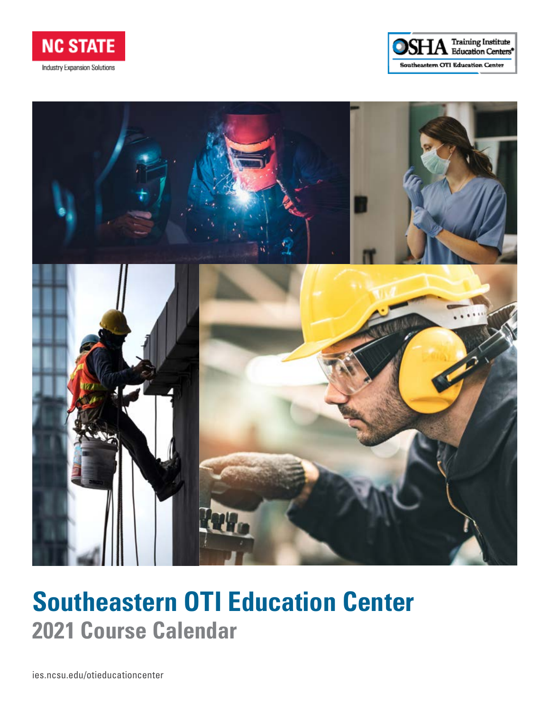





# **Southeastern OTI Education Center 2021 Course Calendar**

[ies.ncsu.edu/otieducationcenter](https://goo.gl/LNeJcG)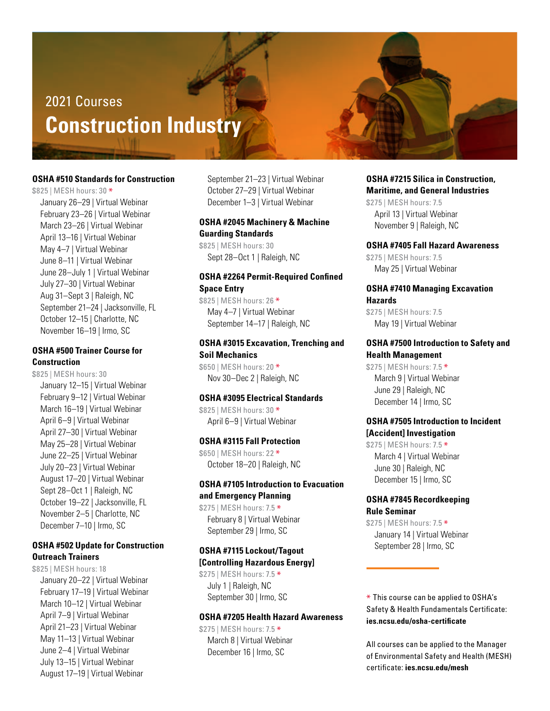# 2021 Courses **Construction Industry**

#### **OSHA #510 Standards for Construction**

\$825 | MESH hours: 30 \* January 26–29 | Virtual Webinar February 23–26 | Virtual Webinar March 23–26 | Virtual Webinar April 13–16 | Virtual Webinar May 4–7 | Virtual Webinar June 8–11 | Virtual Webinar June 28–July 1 | Virtual Webinar July 27–30 | Virtual Webinar Aug 31–Sept 3 | Raleigh, NC September 21–24 | Jacksonville, FL October 12–15 | Charlotte, NC November 16–19 | Irmo, SC

#### **OSHA #500 Trainer Course for Construction**

\$825 | MESH hours: 30 January 12–15 | Virtual Webinar February 9–12 | Virtual Webinar March 16–19 | Virtual Webinar April 6–9 | Virtual Webinar April 27–30 | Virtual Webinar May 25–28 | Virtual Webinar June 22–25 | Virtual Webinar July 20–23 | Virtual Webinar August 17–20 | Virtual Webinar Sept 28–Oct 1 | Raleigh, NC October 19–22 | Jacksonville, FL November 2–5 | Charlotte, NC December 7–10 | Irmo, SC

#### **OSHA #502 Update for Construction Outreach Trainers**

\$825 | MESH hours: 18 January 20–22 | Virtual Webinar February 17–19 | Virtual Webinar March 10–12 | Virtual Webinar April 7–9 | Virtual Webinar April 21–23 | Virtual Webinar May 11–13 | Virtual Webinar June 2–4 | Virtual Webinar July 13–15 | Virtual Webinar August 17–19 | Virtual Webinar

September 21–23 | Virtual Webinar October 27–29 | Virtual Webinar December 1–3 | Virtual Webinar

#### **OSHA #2045 Machinery & Machine Guarding Standards**

\$825 | MESH hours: 30 Sept 28–Oct 1 | Raleigh, NC

### **OSHA #2264 Permit-Required Confined Space Entry**

\$825 | MESH hours: 26 \* May 4–7 | Virtual Webinar September 14–17 | Raleigh, NC

#### **OSHA #3015 Excavation, Trenching and Soil Mechanics**

\$650 | MESH hours: 20 \* Nov 30–Dec 2 | Raleigh, NC

#### **OSHA #3095 Electrical Standards**

\$825 | MESH hours: 30 \* April 6–9 | Virtual Webinar

#### **OSHA #3115 Fall Protection**

\$650 | MESH hours: 22 \* October 18–20 | Raleigh, NC

# **OSHA #7105 Introduction to Evacuation and Emergency Planning**

\$275 | MESH hours: 7.5 \* February 8 | Virtual Webinar September 29 | Irmo, SC

#### **OSHA #7115 Lockout/Tagout [Controlling Hazardous Energy]**

\$275 | MESH hours: 7.5 \* July 1 | Raleigh, NC September 30 | Irmo, SC

#### **OSHA #7205 Health Hazard Awareness**

\$275 | MESH hours: 7.5 \* March 8 | Virtual Webinar December 16 | Irmo, SC

**OSHA #7215 Silica in Construction, Maritime, and General Industries** \$275 | MESH hours: 7.5 April 13 | Virtual Webinar

#### **OSHA #7405 Fall Hazard Awareness**

\$275 | MESH hours: 7.5 May 25 | Virtual Webinar

November 9 | Raleigh, NC

#### **OSHA #7410 Managing Excavation Hazards**

\$275 | MESH hours: 7.5 May 19 | Virtual Webinar

#### **OSHA #7500 Introduction to Safety and Health Management**

\$275 | MESH hours: 7.5 \* March 9 | Virtual Webinar June 29 | Raleigh, NC December 14 | Irmo, SC

#### **OSHA #7505 Introduction to Incident [Accident] Investigation**

\$275 | MESH hours: 7.5 \* March 4 | Virtual Webinar June 30 | Raleigh, NC December 15 | Irmo, SC

#### **OSHA #7845 Recordkeeping Rule Seminar**

\$275 | MESH hours: 7.5 \* January 14 | Virtual Webinar September 28 | Irmo, SC

\* This course can be applied to OSHA's Safety & Health Fundamentals Certificate: **ies.ncsu.edu/osha-certificate**

All courses can be applied to the Manager of Environmental Safety and Health (MESH) certificate: **ies.ncsu.edu/mesh**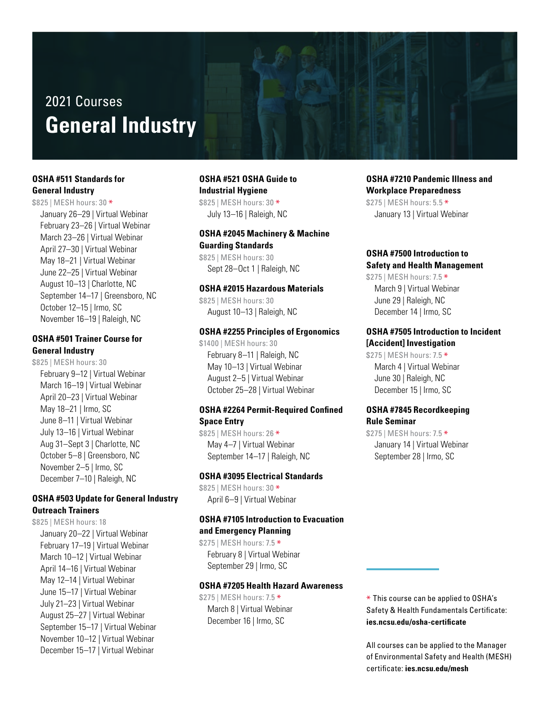# 2021 Courses **General Industry**

# **OSHA #511 Standards for General Industry**

\$825 | MESH hours: 30 \* January 26–29 | Virtual Webinar February 23–26 | Virtual Webinar March 23–26 | Virtual Webinar April 27–30 | Virtual Webinar May 18–21 | Virtual Webinar June 22–25 | Virtual Webinar August 10–13 | Charlotte, NC September 14–17 | Greensboro, NC October 12–15 | Irmo, SC November 16–19 | Raleigh, NC

#### **OSHA #501 Trainer Course for General Industry**

\$825 | MESH hours: 30 February 9–12 | Virtual Webinar March 16–19 | Virtual Webinar April 20–23 | Virtual Webinar May 18–21 | Irmo, SC June 8–11 | Virtual Webinar July 13–16 | Virtual Webinar Aug 31–Sept 3 | Charlotte, NC October 5–8 | Greensboro, NC November 2–5 | Irmo, SC December 7–10 | Raleigh, NC

# **OSHA #503 Update for General Industry Outreach Trainers**

\$825 | MESH hours: 18 January 20–22 | Virtual Webinar February 17–19 | Virtual Webinar March 10–12 | Virtual Webinar April 14–16 | Virtual Webinar May 12–14 | Virtual Webinar June 15–17 | Virtual Webinar July 21–23 | Virtual Webinar August 25–27 | Virtual Webinar September 15–17 | Virtual Webinar November 10–12 | Virtual Webinar December 15–17 | Virtual Webinar

#### **OSHA #521 OSHA Guide to Industrial Hygiene**

\$825 | MESH hours: 30 \* July 13–16 | Raleigh, NC

#### **OSHA #2045 Machinery & Machine Guarding Standards**

\$825 | MESH hours: 30 Sept 28–Oct 1 | Raleigh, NC

#### **OSHA #2015 Hazardous Materials**

\$825 | MESH hours: 30 August 10–13 | Raleigh, NC

#### **OSHA #2255 Principles of Ergonomics**

\$1400 | MESH hours: 30 February 8–11 | Raleigh, NC May 10–13 | Virtual Webinar August 2–5 | Virtual Webinar October 25–28 | Virtual Webinar

#### **OSHA #2264 Permit-Required Confined Space Entry**

\$825 | MESH hours: 26 \* May 4–7 | Virtual Webinar September 14–17 | Raleigh, NC

# **OSHA #3095 Electrical Standards**

\$825 | MESH hours: 30 \* April 6–9 | Virtual Webinar

#### **OSHA #7105 Introduction to Evacuation and Emergency Planning**

\$275 | MESH hours: 7.5 \* February 8 | Virtual Webinar September 29 | Irmo, SC

#### **OSHA #7205 Health Hazard Awareness**

\$275 | MESH hours: 7.5 \* March 8 | Virtual Webinar December 16 | Irmo, SC

**OSHA #7210 Pandemic Illness and Workplace Preparedness** \$275 | MESH hours: 5.5 \* January 13 | Virtual Webinar

# **OSHA #7500 Introduction to Safety and Health Management**

\$275 | MESH hours: 7.5 \* March 9 | Virtual Webinar June 29 | Raleigh, NC December 14 | Irmo, SC

# **OSHA #7505 Introduction to Incident [Accident] Investigation**

\$275 | MESH hours: 7.5 \* March 4 | Virtual Webinar June 30 | Raleigh, NC December 15 | Irmo, SC

#### **OSHA #7845 Recordkeeping Rule Seminar**

\$275 | MESH hours: 7.5 \* January 14 | Virtual Webinar September 28 | Irmo, SC

\* This course can be applied to OSHA's Safety & Health Fundamentals Certificate: **ies.ncsu.edu/osha-certificate**

All courses can be applied to the Manager of Environmental Safety and Health (MESH) certificate: **ies.ncsu.edu/mesh**